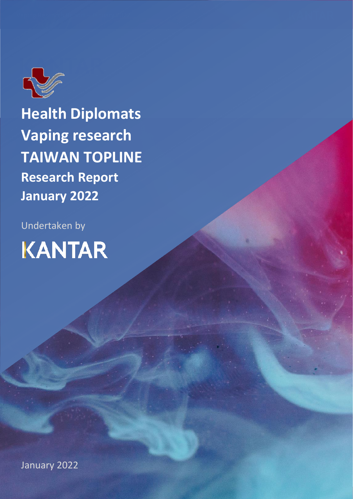

**Health Diplomats Vaping research TAIWAN TOPLINE Research Report January 2022**

Undertaken by **KANTAR** 

January 2022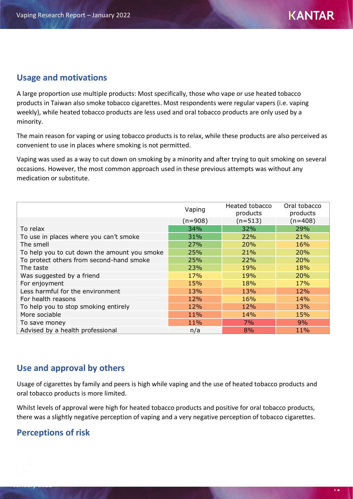### **Usage and motivations**

A large proportion use multiple products: Most specifically, those who vape or use heated tobacco products in Taiwan also smoke tobacco cigarettes. Most respondents were regular vapers (i.e. vaping weekly), while heated tobacco products are less used and oral tobacco products are only used by a minority.

The main reason for vaping or using tobacco products is to relax, while these products are also perceived as convenient to use in places where smoking is not permitted.

Vaping was used as a way to cut down on smoking by a minority and after trying to quit smoking on several occasions. However, the most common approach used in these previous attempts was without any medication or substitute.

|                                              | Vaping    | Heated tobacco<br>products | Oral tobacco<br>products |
|----------------------------------------------|-----------|----------------------------|--------------------------|
|                                              | $(n=908)$ | $(n=513)$                  | $(n=408)$                |
| To relax                                     | 34%       | 32%                        | 29%                      |
| To use in places where you can't smoke       | 31%       | 22%                        | 21%                      |
| The smell                                    | 27%       | 20%                        | 16%                      |
| To help you to cut down the amount you smoke | 25%       | 21%                        | 20%                      |
| To protect others from second-hand smoke     | 25%       | 22%                        | 20%                      |
| The taste                                    | 23%       | 19%                        | 18%                      |
| Was suggested by a friend                    | 17%       | 19%                        | 20%                      |
| For enjoyment                                | 15%       | 18%                        | 17%                      |
| Less harmful for the environment             | 13%       | 13%                        | 12%                      |
| For health reasons                           | 12%       | 16%                        | 14%                      |
| To help you to stop smoking entirely         | 12%       | 12%                        | 13%                      |
| More sociable                                | 11%       | 14%                        | 15%                      |
| To save money                                | 11%       | 7%                         | 9%                       |
| Advised by a health professional             | n/a       | 8%                         | 11%                      |

## **Use and approval by others**

Usage of cigarettes by family and peers is high while vaping and the use of heated tobacco products and oral tobacco products is more limited.

Whilst levels of approval were high for heated tobacco products and positive for oral tobacco products, there was a slightly negative perception of vaping and a very negative perception of tobacco cigarettes.

## **Perceptions of risk**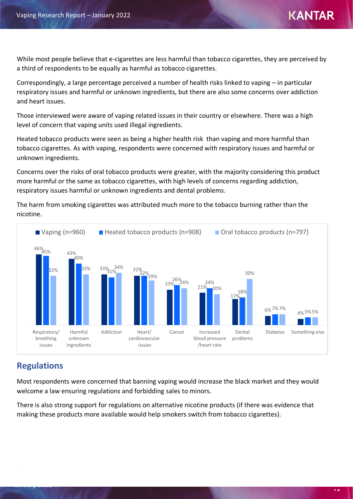While most people believe that e-cigarettes are less harmful than tobacco cigarettes, they are perceived by a third of respondents to be equally as harmful as tobacco cigarettes.

Correspondingly, a large percentage perceived a number of health risks linked to vaping – in particular respiratory issues and harmful or unknown ingredients, but there are also some concerns over addiction and heart issues.

Those interviewed were aware of vaping related issues in their country or elsewhere. There was a high level of concern that vaping units used illegal ingredients.

Heated tobacco products were seen as being a higher health risk than vaping and more harmful than tobacco cigarettes. As with vaping, respondents were concerned with respiratory issues and harmful or unknown ingredients.

Concerns over the risks of oral tobacco products were greater, with the majority considering this product more harmful or the same as tobacco cigarettes, with high levels of concerns regarding addiction, respiratory issues harmful or unknown ingredients and dental problems.

The harm from smoking cigarettes was attributed much more to the tobacco burning rather than the nicotine.



## **Regulations**

Most respondents were concerned that banning vaping would increase the black market and they would welcome a law ensuring regulations and forbidding sales to minors.

There is also strong support for regulations on alternative nicotine products (if there was evidence that making these products more available would help smokers switch from tobacco cigarettes).